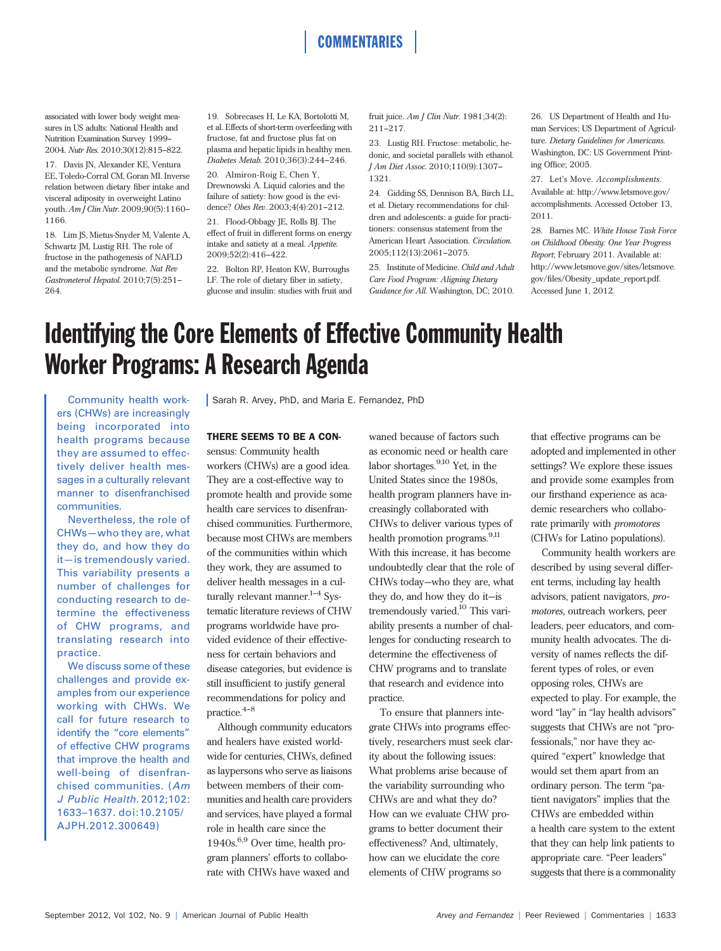associated with lower body weight measures in US adults: National Health and Nutrition Examination Survey 1999-2004. Nutr Res. 2010;30(12):815-822.

17. Davis JN, Alexander KE, Ventura EE, Toledo-Corral CM, Goran MI. Inverse relation between dietary fiber intake and visceral adiposity in overweight Latino youth. Am J Clin Nutr. 2009;90(5):1160-1166.

18. Lim JS, Mietus-Snyder M, Valente A, Schwartz JM, Lustig RH. The role of fructose in the pathogenesis of NAFLD and the metabolic syndrome. Nat Rev Gastroneterol Hepatol. 2010;7(5):251--- 264.

19. Sobrecases H, Le KA, Bortolotti M, et al. Effects of short-term overfeeding with fructose, fat and fructose plus fat on plasma and hepatic lipids in healthy men. Diabetes Metab. 2010;36(3):244-246.

20. Almiron-Roig E, Chen Y, Drewnowski A. Liquid calories and the failure of satiety: how good is the evidence? Obes Rev. 2003;4(4):201-212.

21. Flood-Obbagy JE, Rolls BJ. The effect of fruit in different forms on energy intake and satiety at a meal. Appetite. 2009:52(2):416-422.

22. Bolton RP, Heaton KW, Burroughs LF. The role of dietary fiber in satiety, glucose and insulin: studies with fruit and fruit juice. Am J Clin Nutr. 1981;34(2):  $211 - 217$ 

**COMMENTARIES** 

23. Lustig RH. Fructose: metabolic, hedonic, and societal parallels with ethanol. J Am Diet Assoc. 2010;110(9):1307--- 1321.

24. Gidding SS, Dennison BA, Birch LL, et al. Dietary recommendations for children and adolescents: a guide for practitioners: consensus statement from the American Heart Association. Circulation. 2005;112(13):2061-2075.

25. Institute of Medicine. Child and Adult Care Food Program: Aligning Dietary Guidance for All. Washington, DC; 2010.

26. US Department of Health and Human Services; US Department of Agriculture. Dietary Guidelines for Americans. Washington, DC: US Government Printing Office; 2005.

27. Let's Move. Accomplishments. Available at: http://www.letsmove.gov/ accomplishments. Accessed October 13, 2011.

28. Barnes MC. White House Task Force on Childhood Obesity: One Year Progress Report; February 2011. Available at: http://www.letsmove.gov/sites/letsmove. gov/files/Obesity\_update\_report.pdf. Accessed June 1, 2012.

# Identifying the Core Elements of Effective Community Health Worker Programs: A Research Agenda

Community health workers (CHWs) are increasingly being incorporated into health programs because they are assumed to effectively deliver health messages in a culturally relevant manner to disenfranchised communities.

Nevertheless, the role of CHWs—who they are, what they do, and how they do it—is tremendously varied. This variability presents a number of challenges for conducting research to determine the effectiveness of CHW programs, and translating research into practice.

We discuss some of these challenges and provide examples from our experience working with CHWs. We call for future research to identify the "core elements" of effective CHW programs that improve the health and well-being of disenfranchised communities. (Am J Public Health. 2012;102: 1633–1637. doi:10.2105/ AJPH.2012.300649)

Sarah R. Arvey, PhD, and Maria E. Fernandez, PhD

#### THERE SEEMS TO BE A CONsensus: Community health

workers (CHWs) are a good idea. They are a cost-effective way to promote health and provide some health care services to disenfranchised communities. Furthermore, because most CHWs are members of the communities within which they work, they are assumed to deliver health messages in a culturally relevant manner. $1-4$  Systematic literature reviews of CHW programs worldwide have provided evidence of their effectiveness for certain behaviors and disease categories, but evidence is still insufficient to justify general recommendations for policy and  $practive.<sup>4-8</sup>$ 

Although community educators and healers have existed worldwide for centuries, CHWs, defined as laypersons who serve as liaisons between members of their communities and health care providers and services, have played a formal role in health care since the 1940s.6,9 Over time, health program planners' efforts to collaborate with CHWs have waxed and

waned because of factors such as economic need or health care labor shortages.9,10 Yet, in the United States since the 1980s, health program planners have increasingly collaborated with CHWs to deliver various types of health promotion programs.<sup>9,11</sup> With this increase, it has become undoubtedly clear that the role of CHWs today—who they are, what they do, and how they do it—is tremendously varied.10 This variability presents a number of challenges for conducting research to determine the effectiveness of CHW programs and to translate that research and evidence into practice.

To ensure that planners integrate CHWs into programs effectively, researchers must seek clarity about the following issues: What problems arise because of the variability surrounding who CHWs are and what they do? How can we evaluate CHW programs to better document their effectiveness? And, ultimately, how can we elucidate the core elements of CHW programs so

that effective programs can be adopted and implemented in other settings? We explore these issues and provide some examples from our firsthand experience as academic researchers who collaborate primarily with promotores (CHWs for Latino populations).

Community health workers are described by using several different terms, including lay health advisors, patient navigators, promotores, outreach workers, peer leaders, peer educators, and community health advocates. The diversity of names reflects the different types of roles, or even opposing roles, CHWs are expected to play. For example, the word "lay" in "lay health advisors" suggests that CHWs are not "professionals," nor have they acquired "expert" knowledge that would set them apart from an ordinary person. The term "patient navigators" implies that the CHWs are embedded within a health care system to the extent that they can help link patients to appropriate care. "Peer leaders" suggests that there is a commonality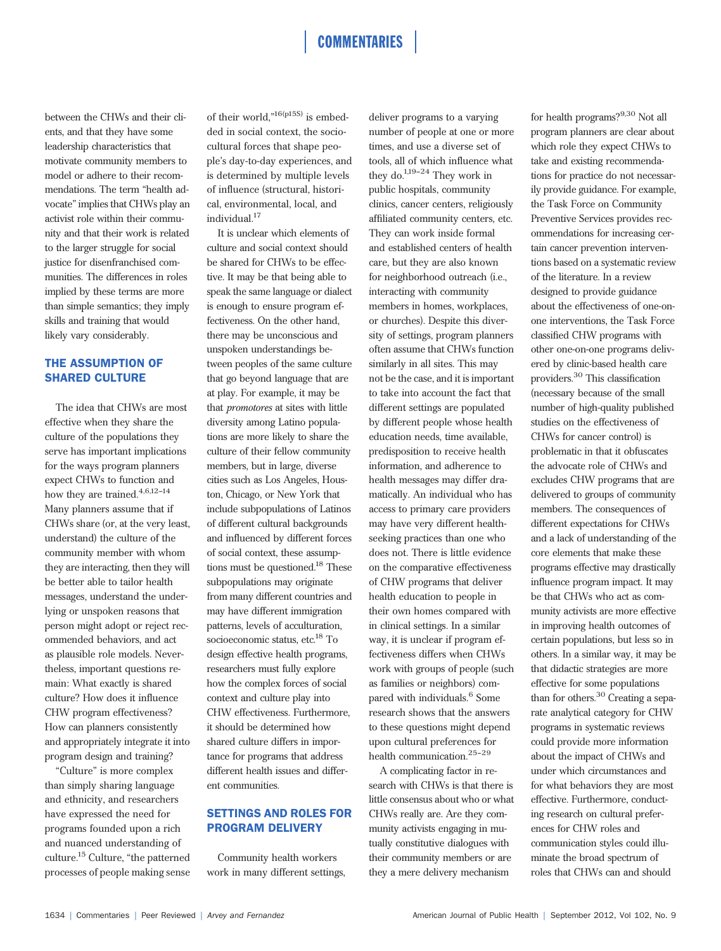# **COMMENTARIES**

between the CHWs and their clients, and that they have some leadership characteristics that motivate community members to model or adhere to their recommendations. The term "health advocate" implies that CHWs play an activist role within their community and that their work is related to the larger struggle for social justice for disenfranchised communities. The differences in roles implied by these terms are more than simple semantics; they imply skills and training that would likely vary considerably.

### THE ASSUMPTION OF SHARED CULTURE

The idea that CHWs are most effective when they share the culture of the populations they serve has important implications for the ways program planners expect CHWs to function and how they are trained. $4,6,12-14$ Many planners assume that if CHWs share (or, at the very least, understand) the culture of the community member with whom they are interacting, then they will be better able to tailor health messages, understand the underlying or unspoken reasons that person might adopt or reject recommended behaviors, and act as plausible role models. Nevertheless, important questions remain: What exactly is shared culture? How does it influence CHW program effectiveness? How can planners consistently and appropriately integrate it into program design and training?

"Culture" is more complex than simply sharing language and ethnicity, and researchers have expressed the need for programs founded upon a rich and nuanced understanding of culture.<sup>15</sup> Culture, "the patterned processes of people making sense

of their world,"<sup>16(p15S)</sup> is embedded in social context, the sociocultural forces that shape people's day-to-day experiences, and is determined by multiple levels of influence (structural, historical, environmental, local, and individual.<sup>17</sup>

It is unclear which elements of culture and social context should be shared for CHWs to be effective. It may be that being able to speak the same language or dialect is enough to ensure program effectiveness. On the other hand, there may be unconscious and unspoken understandings between peoples of the same culture that go beyond language that are at play. For example, it may be that promotores at sites with little diversity among Latino populations are more likely to share the culture of their fellow community members, but in large, diverse cities such as Los Angeles, Houston, Chicago, or New York that include subpopulations of Latinos of different cultural backgrounds and influenced by different forces of social context, these assumptions must be questioned.<sup>18</sup> These subpopulations may originate from many different countries and may have different immigration patterns, levels of acculturation, socioeconomic status, etc.<sup>18</sup> To design effective health programs, researchers must fully explore how the complex forces of social context and culture play into CHW effectiveness. Furthermore, it should be determined how shared culture differs in importance for programs that address different health issues and different communities.

# SETTINGS AND ROLES FOR PROGRAM DELIVERY

Community health workers work in many different settings, deliver programs to a varying number of people at one or more times, and use a diverse set of tools, all of which influence what they do. $1,19-24$  They work in public hospitals, community clinics, cancer centers, religiously affiliated community centers, etc. They can work inside formal and established centers of health care, but they are also known for neighborhood outreach (i.e., interacting with community members in homes, workplaces, or churches). Despite this diversity of settings, program planners often assume that CHWs function similarly in all sites. This may not be the case, and it is important to take into account the fact that different settings are populated by different people whose health education needs, time available, predisposition to receive health information, and adherence to health messages may differ dramatically. An individual who has access to primary care providers may have very different healthseeking practices than one who does not. There is little evidence on the comparative effectiveness of CHW programs that deliver health education to people in their own homes compared with in clinical settings. In a similar way, it is unclear if program effectiveness differs when CHWs work with groups of people (such as families or neighbors) compared with individuals.<sup>6</sup> Some research shows that the answers to these questions might depend upon cultural preferences for health communication.  $^{25-29}$ 

A complicating factor in research with CHWs is that there is little consensus about who or what CHWs really are. Are they community activists engaging in mutually constitutive dialogues with their community members or are they a mere delivery mechanism

for health programs?9,30 Not all program planners are clear about which role they expect CHWs to take and existing recommendations for practice do not necessarily provide guidance. For example, the Task Force on Community Preventive Services provides recommendations for increasing certain cancer prevention interventions based on a systematic review of the literature. In a review designed to provide guidance about the effectiveness of one-onone interventions, the Task Force classified CHW programs with other one-on-one programs delivered by clinic-based health care providers.<sup>30</sup> This classification (necessary because of the small number of high-quality published studies on the effectiveness of CHWs for cancer control) is problematic in that it obfuscates the advocate role of CHWs and excludes CHW programs that are delivered to groups of community members. The consequences of different expectations for CHWs and a lack of understanding of the core elements that make these programs effective may drastically influence program impact. It may be that CHWs who act as community activists are more effective in improving health outcomes of certain populations, but less so in others. In a similar way, it may be that didactic strategies are more effective for some populations than for others.<sup>30</sup> Creating a separate analytical category for CHW programs in systematic reviews could provide more information about the impact of CHWs and under which circumstances and for what behaviors they are most effective. Furthermore, conducting research on cultural preferences for CHW roles and communication styles could illuminate the broad spectrum of

roles that CHWs can and should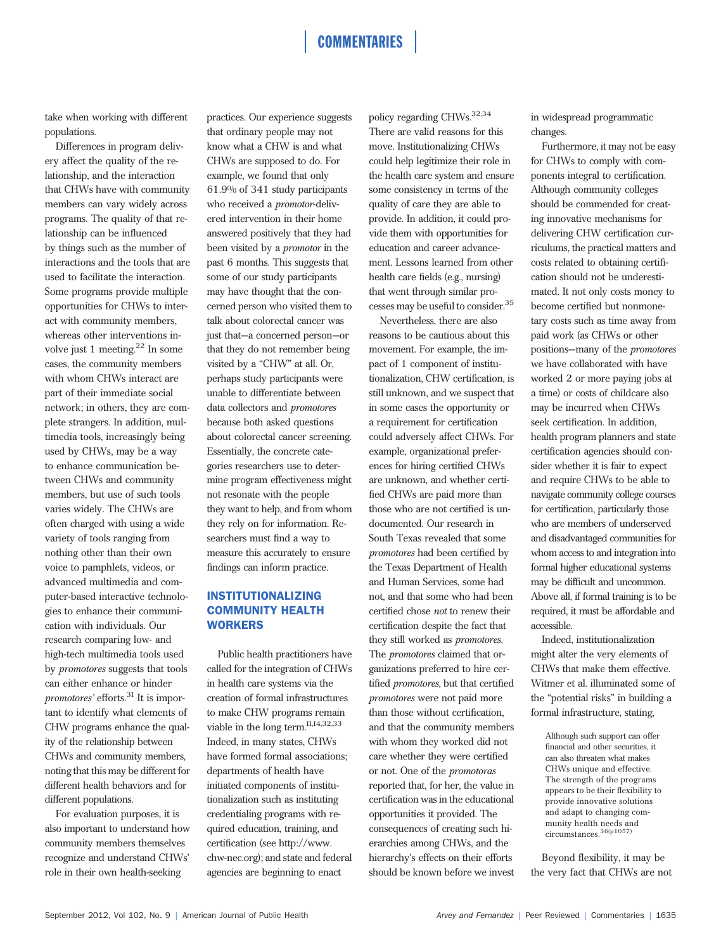# **COMMENTARIES**

take when working with different populations.

Differences in program delivery affect the quality of the relationship, and the interaction that CHWs have with community members can vary widely across programs. The quality of that relationship can be influenced by things such as the number of interactions and the tools that are used to facilitate the interaction. Some programs provide multiple opportunities for CHWs to interact with community members, whereas other interventions involve just 1 meeting. $22$  In some cases, the community members with whom CHWs interact are part of their immediate social network; in others, they are complete strangers. In addition, multimedia tools, increasingly being used by CHWs, may be a way to enhance communication between CHWs and community members, but use of such tools varies widely. The CHWs are often charged with using a wide variety of tools ranging from nothing other than their own voice to pamphlets, videos, or advanced multimedia and computer-based interactive technologies to enhance their communication with individuals. Our research comparing low- and high-tech multimedia tools used by promotores suggests that tools can either enhance or hinder promotores' efforts.<sup>31</sup> It is important to identify what elements of CHW programs enhance the quality of the relationship between CHWs and community members, noting that this may be different for different health behaviors and for different populations.

For evaluation purposes, it is also important to understand how community members themselves recognize and understand CHWs' role in their own health-seeking

practices. Our experience suggests that ordinary people may not know what a CHW is and what CHWs are supposed to do. For example, we found that only 61.9% of 341 study participants who received a promotor-delivered intervention in their home answered positively that they had been visited by a promotor in the past 6 months. This suggests that some of our study participants may have thought that the concerned person who visited them to talk about colorectal cancer was just that—a concerned person—or that they do not remember being visited by a "CHW" at all. Or, perhaps study participants were unable to differentiate between data collectors and promotores because both asked questions about colorectal cancer screening. Essentially, the concrete categories researchers use to determine program effectiveness might not resonate with the people they want to help, and from whom they rely on for information. Researchers must find a way to measure this accurately to ensure findings can inform practice.

## INSTITUTIONALIZING COMMUNITY HEALTH **WORKERS**

Public health practitioners have called for the integration of CHWs in health care systems via the creation of formal infrastructures to make CHW programs remain viable in the long term.<sup>11,14,32,33</sup> Indeed, in many states, CHWs have formed formal associations; departments of health have initiated components of institutionalization such as instituting credentialing programs with required education, training, and certification (see http://www. chw-nec.org); and state and federal agencies are beginning to enact

policy regarding CHWs.32,34 There are valid reasons for this move. Institutionalizing CHWs could help legitimize their role in the health care system and ensure some consistency in terms of the quality of care they are able to provide. In addition, it could provide them with opportunities for education and career advancement. Lessons learned from other health care fields (e.g., nursing) that went through similar processes may be useful to consider.35

Nevertheless, there are also reasons to be cautious about this movement. For example, the impact of 1 component of institutionalization, CHW certification, is still unknown, and we suspect that in some cases the opportunity or a requirement for certification could adversely affect CHWs. For example, organizational preferences for hiring certified CHWs are unknown, and whether certified CHWs are paid more than those who are not certified is undocumented. Our research in South Texas revealed that some promotores had been certified by the Texas Department of Health and Human Services, some had not, and that some who had been certified chose not to renew their certification despite the fact that they still worked as promotores. The promotores claimed that organizations preferred to hire certified promotores, but that certified promotores were not paid more than those without certification, and that the community members with whom they worked did not care whether they were certified or not. One of the promotoras reported that, for her, the value in certification was in the educational opportunities it provided. The consequences of creating such hierarchies among CHWs, and the hierarchy's effects on their efforts should be known before we invest

in widespread programmatic changes.

Furthermore, it may not be easy for CHWs to comply with components integral to certification. Although community colleges should be commended for creating innovative mechanisms for delivering CHW certification curriculums, the practical matters and costs related to obtaining certification should not be underestimated. It not only costs money to become certified but nonmonetary costs such as time away from paid work (as CHWs or other positions—many of the promotores we have collaborated with have worked 2 or more paying jobs at a time) or costs of childcare also may be incurred when CHWs seek certification. In addition, health program planners and state certification agencies should consider whether it is fair to expect and require CHWs to be able to navigate community college courses for certification, particularly those who are members of underserved and disadvantaged communities for whom access to and integration into formal higher educational systems may be difficult and uncommon. Above all, if formal training is to be required, it must be affordable and accessible.

Indeed, institutionalization might alter the very elements of CHWs that make them effective. Witmer et al. illuminated some of the "potential risks" in building a formal infrastructure, stating,

Although such support can offer financial and other securities, it can also threaten what makes CHWs unique and effective. The strength of the programs appears to be their flexibility to provide innovative solutions and adapt to changing community health needs and circumstances.36(p1057)

Beyond flexibility, it may be the very fact that CHWs are not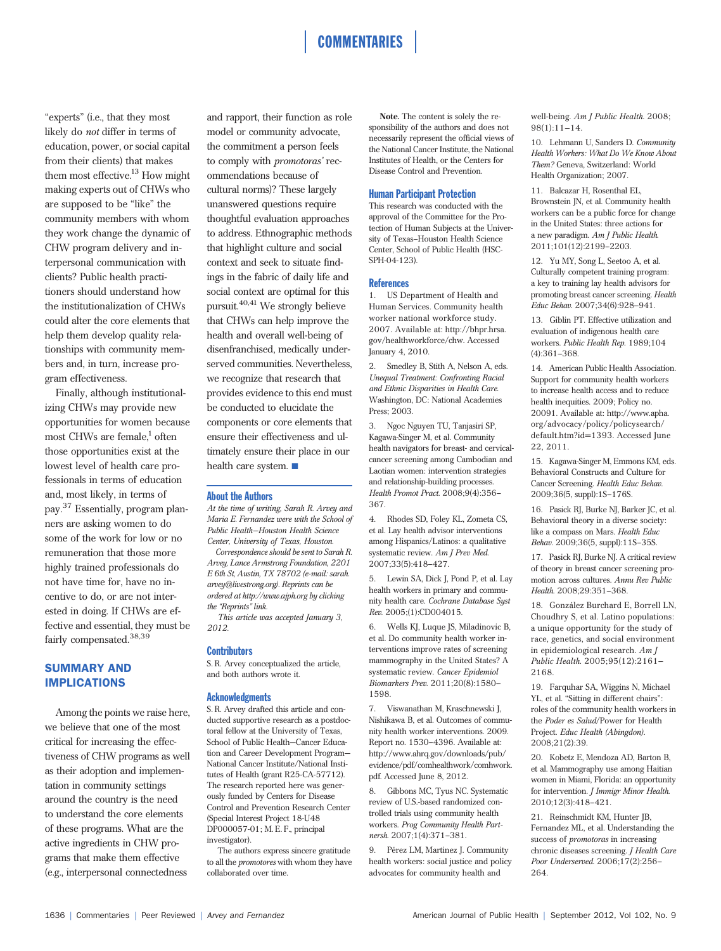"experts" (i.e., that they most likely do not differ in terms of education, power, or social capital from their clients) that makes them most effective.<sup>13</sup> How might making experts out of CHWs who are supposed to be "like" the community members with whom they work change the dynamic of CHW program delivery and interpersonal communication with clients? Public health practitioners should understand how the institutionalization of CHWs could alter the core elements that help them develop quality relationships with community members and, in turn, increase program effectiveness.

Finally, although institutionalizing CHWs may provide new opportunities for women because most CHWs are female, $<sup>1</sup>$  often</sup> those opportunities exist at the lowest level of health care professionals in terms of education and, most likely, in terms of pay.<sup>37</sup> Essentially, program planners are asking women to do some of the work for low or no remuneration that those more highly trained professionals do not have time for, have no incentive to do, or are not interested in doing. If CHWs are effective and essential, they must be fairly compensated.<sup>38,39</sup>

### SUMMARY AND IMPLICATIONS

Among the points we raise here, we believe that one of the most critical for increasing the effectiveness of CHW programs as well as their adoption and implementation in community settings around the country is the need to understand the core elements of these programs. What are the active ingredients in CHW programs that make them effective (e.g., interpersonal connectedness

and rapport, their function as role model or community advocate, the commitment a person feels to comply with promotoras' recommendations because of cultural norms)? These largely unanswered questions require thoughtful evaluation approaches to address. Ethnographic methods that highlight culture and social context and seek to situate findings in the fabric of daily life and social context are optimal for this pursuit.40,41 We strongly believe that CHWs can help improve the health and overall well-being of disenfranchised, medically underserved communities. Nevertheless, we recognize that research that provides evidence to this end must be conducted to elucidate the components or core elements that ensure their effectiveness and ultimately ensure their place in our health care system.  $\blacksquare$ 

#### About the Authors

At the time of writing, Sarah R. Arvey and Maria E. Fernandez were with the School of Public Health-Houston Health Science Center, University of Texas, Houston.

Correspondence should be sent to Sarah R. Arvey, Lance Armstrong Foundation, 2201 E 6th St, Austin, TX 78702 (e-mail: sarah. arvey@livestrong.org). Reprints can be ordered at http://www.ajph.org by clicking the "Reprints" link.

This article was accepted January 3, 2012.

#### **Contributors**

S. R. Arvey conceptualized the article, and both authors wrote it.

#### **Acknowledgments**

S. R. Arvey drafted this article and conducted supportive research as a postdoctoral fellow at the University of Texas, School of Public Health—Cancer Education and Career Development Program— National Cancer Institute/National Institutes of Health (grant R25-CA-57712). The research reported here was generously funded by Centers for Disease Control and Prevention Research Center (Special Interest Project 18-U48 DP000057-01; M. E. F., principal investigator).

The authors express sincere gratitude to all the promotores with whom they have collaborated over time.

Note. The content is solely the responsibility of the authors and does not necessarily represent the official views of the National Cancer Institute, the National Institutes of Health, or the Centers for Disease Control and Prevention.

### Human Participant Protection

This research was conducted with the approval of the Committee for the Protection of Human Subjects at the University of Texas-Houston Health Science Center, School of Public Health (HSC-SPH-04-123).

#### References

1. US Department of Health and Human Services. Community health worker national workforce study. 2007. Available at: http://bhpr.hrsa. gov/healthworkforce/chw. Accessed January 4, 2010.

2. Smedley B, Stith A, Nelson A, eds. Unequal Treatment: Confronting Racial and Ethnic Disparities in Health Care. Washington, DC: National Academies Press; 2003.

3. Ngoc Nguyen TU, Tanjasiri SP, Kagawa-Singer M, et al. Community health navigators for breast- and cervicalcancer screening among Cambodian and Laotian women: intervention strategies and relationship-building processes. Health Promot Pract. 2008;9(4):356-367.

4. Rhodes SD, Foley KL, Zometa CS, et al. Lay health advisor interventions among Hispanics/Latinos: a qualitative systematic review. Am J Prev Med. 2007;33(5):418-427.

5. Lewin SA, Dick J, Pond P, et al. Lay health workers in primary and community health care. Cochrane Database Syst Rev. 2005;(1):CD004015.

6. Wells KJ, Luque JS, Miladinovic B, et al. Do community health worker interventions improve rates of screening mammography in the United States? A systematic review. Cancer Epidemiol Biomarkers Prev. 2011:20(8):1580-1598.

7. Viswanathan M, Kraschnewski J, Nishikawa B, et al. Outcomes of community health worker interventions. 2009. Report no. 1530-4396. Available at: http://www.ahrq.gov/downloads/pub/ evidence/pdf/comhealthwork/comhwork. pdf. Accessed June 8, 2012.

8. Gibbons MC, Tyus NC. Systematic review of U.S.-based randomized controlled trials using community health workers. Prog Community Health Partnersh. 2007;1(4):371-381.

9. Pérez LM, Martinez I. Community health workers: social justice and policy advocates for community health and

well-being. Am J Public Health. 2008;  $98(1):11-14$ 

10. Lehmann U, Sanders D. Community Health Workers: What Do We Know About Them? Geneva, Switzerland: World Health Organization; 2007.

11. Balcazar H, Rosenthal EL, Brownstein JN, et al. Community health workers can be a public force for change in the United States: three actions for a new paradigm. Am J Public Health. 2011;101(12):2199-2203.

12. Yu MY, Song L, Seetoo A, et al. Culturally competent training program: a key to training lay health advisors for promoting breast cancer screening. Health Educ Behav. 2007;34(6):928-941.

13. Giblin PT. Effective utilization and evaluation of indigenous health care workers. Public Health Rep. 1989;104  $(4):361-368.$ 

14. American Public Health Association. Support for community health workers to increase health access and to reduce health inequities. 2009; Policy no. 20091. Available at: http://www.apha. org/advocacy/policy/policysearch/ default.htm?id=1393. Accessed June 22, 2011.

15. Kagawa-Singer M, Emmons KM, eds. Behavioral Constructs and Culture for Cancer Screening. Health Educ Behav. 2009;36(5, suppl):1S-176S.

16. Pasick RJ, Burke NJ, Barker JC, et al. Behavioral theory in a diverse society: like a compass on Mars. Health Educ Behav. 2009;36(5, suppl):11S-35S.

17. Pasick RJ, Burke NJ. A critical review of theory in breast cancer screening promotion across cultures. Annu Rev Public Health. 2008:29:351-368.

18. González Burchard E, Borrell LN, Choudhry S, et al. Latino populations: a unique opportunity for the study of race, genetics, and social environment in epidemiological research. Am J Public Health. 2005;95(12):2161-2168.

19. Farquhar SA, Wiggins N, Michael YL, et al. "Sitting in different chairs": roles of the community health workers in the Poder es Salud/Power for Health Project. Educ Health (Abingdon). 2008;21(2):39.

20. Kobetz E, Mendoza AD, Barton B, et al. Mammography use among Haitian women in Miami, Florida: an opportunity for intervention. J Immigr Minor Health. 2010;12(3):418-421.

21. Reinschmidt KM, Hunter JB, Fernandez ML, et al. Understanding the success of *promotoras* in increasing chronic diseases screening. J Health Care Poor Underserved. 2006;17(2):256-264.